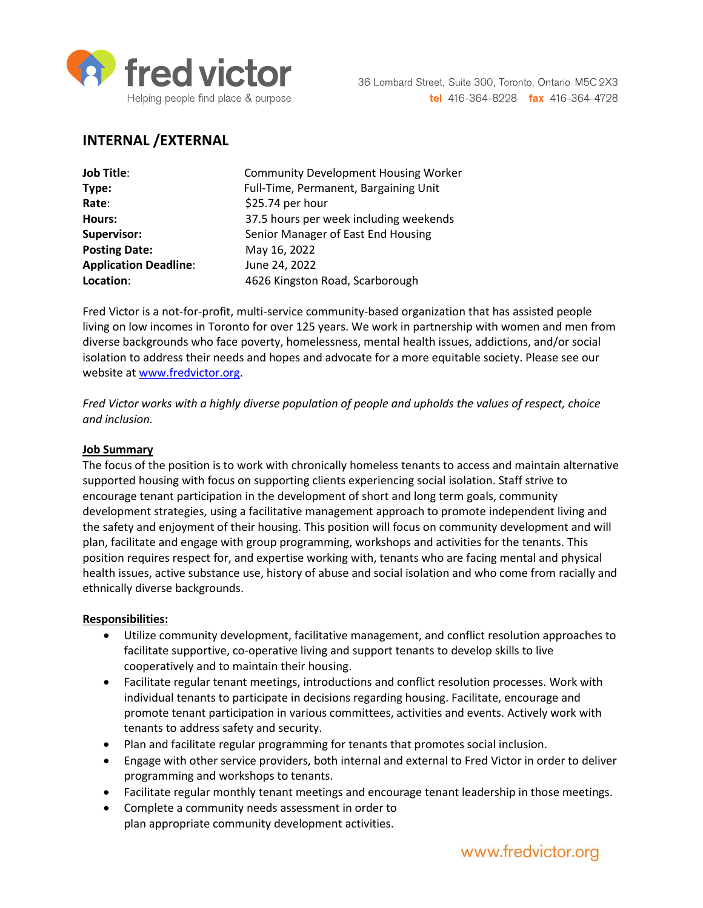

# **INTERNAL /EXTERNAL**

| <b>Job Title:</b>            | <b>Community Development Housing Worker</b> |
|------------------------------|---------------------------------------------|
| Type:                        | Full-Time, Permanent, Bargaining Unit       |
| Rate:                        | \$25.74 per hour                            |
| Hours:                       | 37.5 hours per week including weekends      |
| Supervisor:                  | Senior Manager of East End Housing          |
| <b>Posting Date:</b>         | May 16, 2022                                |
| <b>Application Deadline:</b> | June 24, 2022                               |
| Location:                    | 4626 Kingston Road, Scarborough             |

Fred Victor is a not-for-profit, multi-service community-based organization that has assisted people living on low incomes in Toronto for over 125 years. We work in partnership with women and men from diverse backgrounds who face poverty, homelessness, mental health issues, addictions, and/or social isolation to address their needs and hopes and advocate for a more equitable society. Please see our website at [www.fredvictor.org.](http://www.fredvictor.org/)

*Fred Victor works with a highly diverse population of people and upholds the values of respect, choice and inclusion.*

#### **Job Summary**

The focus of the position is to work with chronically homeless tenants to access and maintain alternative supported housing with focus on supporting clients experiencing social isolation. Staff strive to encourage tenant participation in the development of short and long term goals, community development strategies, using a facilitative management approach to promote independent living and the safety and enjoyment of their housing. This position will focus on community development and will plan, facilitate and engage with group programming, workshops and activities for the tenants. This position requires respect for, and expertise working with, tenants who are facing mental and physical health issues, active substance use, history of abuse and social isolation and who come from racially and ethnically diverse backgrounds.

#### **Responsibilities:**

- Utilize community development, facilitative management, and conflict resolution approaches to facilitate supportive, co-operative living and support tenants to develop skills to live cooperatively and to maintain their housing.
- Facilitate regular tenant meetings, introductions and conflict resolution processes. Work with individual tenants to participate in decisions regarding housing. Facilitate, encourage and promote tenant participation in various committees, activities and events. Actively work with tenants to address safety and security.
- Plan and facilitate regular programming for tenants that promotes social inclusion.
- Engage with other service providers, both internal and external to Fred Victor in order to deliver programming and workshops to tenants.
- Facilitate regular monthly tenant meetings and encourage tenant leadership in those meetings.
- Complete a community needs assessment in order to plan appropriate community development activities.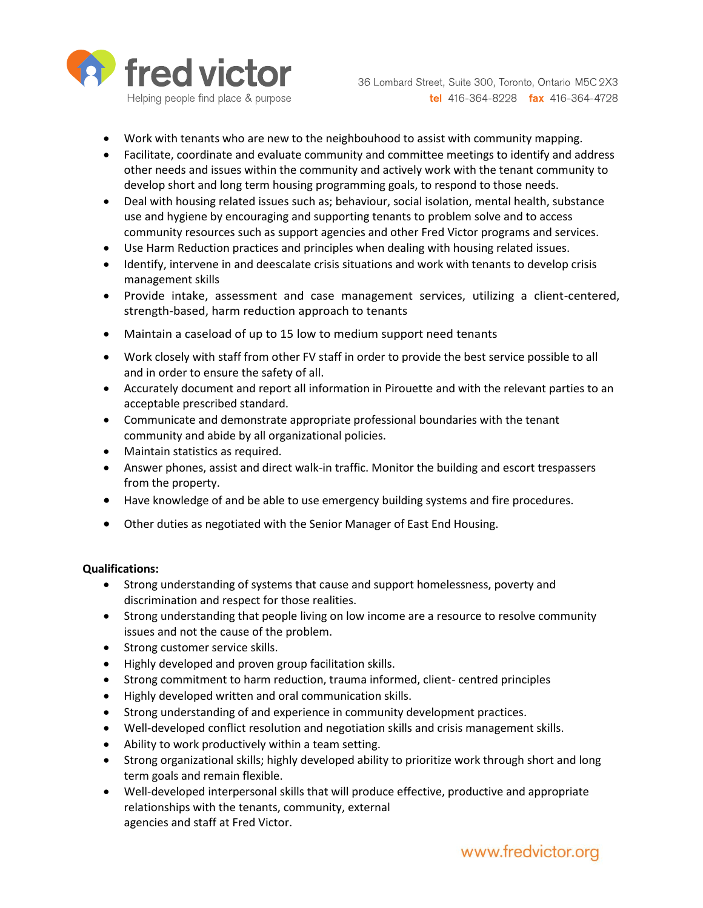

36 Lombard Street, Suite 300, Toronto, Ontario M5C 2X3 tel 416-364-8228 fax 416-364-4728

- Work with tenants who are new to the neighbouhood to assist with community mapping.
- Facilitate, coordinate and evaluate community and committee meetings to identify and address other needs and issues within the community and actively work with the tenant community to develop short and long term housing programming goals, to respond to those needs.
- Deal with housing related issues such as; behaviour, social isolation, mental health, substance use and hygiene by encouraging and supporting tenants to problem solve and to access community resources such as support agencies and other Fred Victor programs and services.
- Use Harm Reduction practices and principles when dealing with housing related issues.
- Identify, intervene in and deescalate crisis situations and work with tenants to develop crisis management skills
- Provide intake, assessment and case management services, utilizing a client-centered, strength-based, harm reduction approach to tenants
- Maintain a caseload of up to 15 low to medium support need tenants
- Work closely with staff from other FV staff in order to provide the best service possible to all and in order to ensure the safety of all.
- Accurately document and report all information in Pirouette and with the relevant parties to an acceptable prescribed standard.
- Communicate and demonstrate appropriate professional boundaries with the tenant community and abide by all organizational policies.
- Maintain statistics as required.
- Answer phones, assist and direct walk-in traffic. Monitor the building and escort trespassers from the property.
- Have knowledge of and be able to use emergency building systems and fire procedures.
- Other duties as negotiated with the Senior Manager of East End Housing.

### **Qualifications:**

- Strong understanding of systems that cause and support homelessness, poverty and discrimination and respect for those realities.
- Strong understanding that people living on low income are a resource to resolve community issues and not the cause of the problem.
- Strong customer service skills.
- Highly developed and proven group facilitation skills.
- Strong commitment to harm reduction, trauma informed, client- centred principles
- Highly developed written and oral communication skills.
- Strong understanding of and experience in community development practices.
- Well-developed conflict resolution and negotiation skills and crisis management skills.
- Ability to work productively within a team setting.
- Strong organizational skills; highly developed ability to prioritize work through short and long term goals and remain flexible.
- Well-developed interpersonal skills that will produce effective, productive and appropriate relationships with the tenants, community, external agencies and staff at Fred Victor.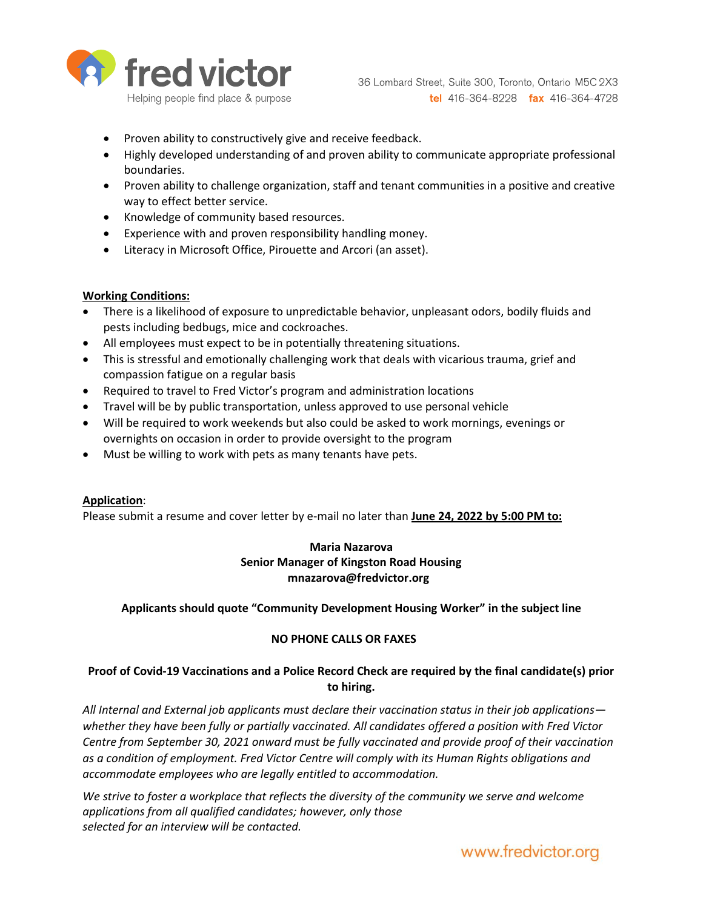

- Proven ability to constructively give and receive feedback.
- Highly developed understanding of and proven ability to communicate appropriate professional boundaries.
- Proven ability to challenge organization, staff and tenant communities in a positive and creative way to effect better service.
- Knowledge of community based resources.
- Experience with and proven responsibility handling money.
- Literacy in Microsoft Office, Pirouette and Arcori (an asset).

### **Working Conditions:**

- There is a likelihood of exposure to unpredictable behavior, unpleasant odors, bodily fluids and pests including bedbugs, mice and cockroaches.
- All employees must expect to be in potentially threatening situations.
- This is stressful and emotionally challenging work that deals with vicarious trauma, grief and compassion fatigue on a regular basis
- Required to travel to Fred Victor's program and administration locations
- Travel will be by public transportation, unless approved to use personal vehicle
- Will be required to work weekends but also could be asked to work mornings, evenings or overnights on occasion in order to provide oversight to the program
- Must be willing to work with pets as many tenants have pets.

### **Application**:

Please submit a resume and cover letter by e-mail no later than **June 24, 2022 by 5:00 PM to:**

## **Maria Nazarova Senior Manager of Kingston Road Housing mnazarova@fredvictor.org**

### **Applicants should quote "Community Development Housing Worker" in the subject line**

### **NO PHONE CALLS OR FAXES**

## **Proof of Covid-19 Vaccinations and a Police Record Check are required by the final candidate(s) prior to hiring.**

*All Internal and External job applicants must declare their vaccination status in their job applications whether they have been fully or partially vaccinated. All candidates offered a position with Fred Victor Centre from September 30, 2021 onward must be fully vaccinated and provide proof of their vaccination as a condition of employment. Fred Victor Centre will comply with its Human Rights obligations and accommodate employees who are legally entitled to accommodation.*

We strive to foster a workplace that reflects the diversity of the community we serve and welcome *applications from all qualified candidates; however, only those selected for an interview will be contacted.*